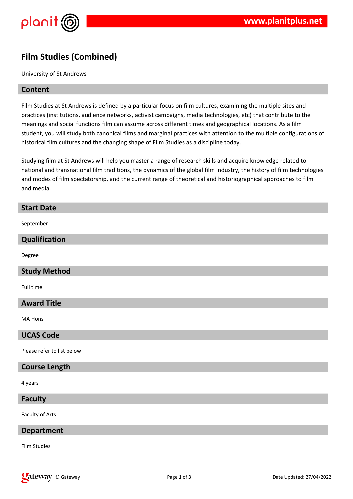

# **Film Studies (Combined)**

University of St Andrews

### **Content**

Film Studies at St Andrews is defined by a particular focus on film cultures, examining the multiple sites and practices (institutions, audience networks, activist campaigns, media technologies, etc) that contribute to the meanings and social functions film can assume across different times and geographical locations. As a film student, you will study both canonical films and marginal practices with attention to the multiple configurations of historical film cultures and the changing shape of Film Studies as a discipline today.

Studying film at St Andrews will help you master a range of research skills and acquire knowledge related to national and transnational film traditions, the dynamics of the global film industry, the history of film technologies and modes of film spectatorship, and the current range of theoretical and historiographical approaches to film and media.

| <b>Start Date</b>          |
|----------------------------|
| September                  |
| Qualification              |
| Degree                     |
| <b>Study Method</b>        |
| Full time                  |
| <b>Award Title</b>         |
| MA Hons                    |
| <b>UCAS Code</b>           |
| Please refer to list below |
| <b>Course Length</b>       |
| 4 years                    |

# **Faculty**

Faculty of Arts

### **Department**

Film Studies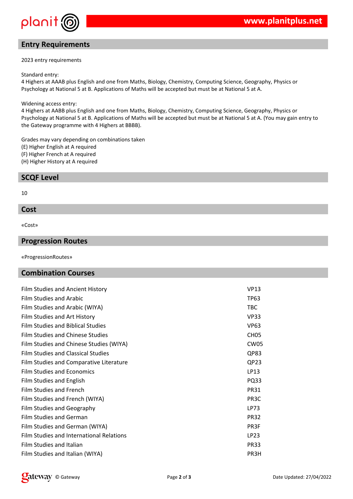

# **Entry Requirements**

#### 2023 entry requirements

#### Standard entry:

4 Highers at AAAB plus English and one from Maths, Biology, Chemistry, Computing Science, Geography, Physics or Psychology at National 5 at B. Applications of Maths will be accepted but must be at National 5 at A.

#### Widening access entry:

4 Highers at AABB plus English and one from Maths, Biology, Chemistry, Computing Science, Geography, Physics or Psychology at National 5 at B. Applications of Maths will be accepted but must be at National 5 at A. (You may gain entry to the Gateway programme with 4 Highers at BBBB).

Grades may vary depending on combinations taken (E) Higher English at A required (F) Higher French at A required

(H) Higher History at A required

### **SCQF Level**

#### 10

### **Cost**

«Cost»

### **Progression Routes**

«ProgressionRoutes»

### **Combination Courses**

| Film Studies and Ancient History         | <b>VP13</b>       |
|------------------------------------------|-------------------|
| <b>Film Studies and Arabic</b>           | <b>TP63</b>       |
| Film Studies and Arabic (WIYA)           | <b>TBC</b>        |
| Film Studies and Art History             | <b>VP33</b>       |
| Film Studies and Biblical Studies        | <b>VP63</b>       |
| Film Studies and Chinese Studies         | CH <sub>05</sub>  |
| Film Studies and Chinese Studies (WIYA)  | CW <sub>05</sub>  |
| Film Studies and Classical Studies       | QP83              |
| Film Studies and Comparative Literature  | QP23              |
| <b>Film Studies and Economics</b>        | LP13              |
| Film Studies and English                 | PQ33              |
| Film Studies and French                  | <b>PR31</b>       |
| Film Studies and French (WIYA)           | PR <sub>3</sub> C |
| Film Studies and Geography               | LP73              |
| Film Studies and German                  | <b>PR32</b>       |
| Film Studies and German (WIYA)           | PR3F              |
| Film Studies and International Relations | LP23              |
| Film Studies and Italian                 | <b>PR33</b>       |
| Film Studies and Italian (WIYA)          | PR3H              |